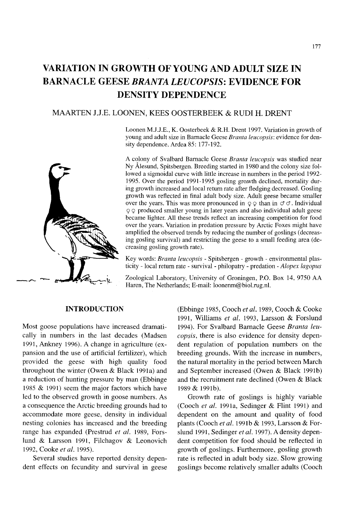# **VARIATION IN GROWTH OF YOUNG AND ADULT SIZE IN BARNACLE GEESE** *BRANTA LEUCOPSIS:* **EVIDENCE FOR DENSITY DEPENDENCE**

# MAARTEN U.E. LOONEN, KEES OOSTERBEEK & **RUDI** H. DRENT

Loonen M.J.J.E., K. Oosterbeek & R.H. Drent 1997. Variation in growth of young and adult size in Barnacle Geese *Branta leucopsis:* evidence for density dependence. Ardea 85: 177-192.

A colony of Svalbard Barnacle Geese *Branta leucopsis* was studied near Ny Alesund, Spitsbergen. Breeding started in 1980 and the colony size followed a sigmoidal curve with little increase in numbers in the period 1992- 1995. Over the period 1991-1995 gosling growth declined, mortality during growth increased and local return rate after fledging decreased. Gosling growth was reflected in final adult body size. Adult geese became smaller over the years. This was more pronounced in  $\circ \circ$  than in  $\circ \circ$ . Individual  $\circ$  produced smaller young in later years and also individual adult geese became lighter. All these trends reflect an increasing competition for food over the years. Variation in predation pressure by Arctic Foxes might have amplified the observed trends by reducing the number of goslings (decreasing gosling survival) and restricting the geese to a small feeding area (decreasing gosling growth rate).

Key words: *Branta leucopsis* - Spitsbergen - growth - environmental plasticity - local return rate - survival - philopatry - predation - *Alopex lagopus*

Zoological Laboratory, University of Groningen, P.O. Box 14, 9750 AA Haren, The Netherlands; E-mail: loonenm@biol.rug.nl.

#### **INTRODUCTION**

Most goose populations have increased dramatically in numbers in the last decades (Madsen 1991, Ankney 1996). A change in agriculture (expansion and the use of artificial fertilizer), which provided the geese with high quality food throughout the winter (Owen & Black 1991a) and a reduction of hunting pressure by man (Ebbinge 1985 & 1991) seem the major factors which have led to the observed growth in goose numbers. As a consequence the Arctic breeding grounds had to accommodate more geese, density in individual nesting colonies has increased and the breeding range has expanded (Prestrud *et ai.* 1989, Forslund & Larsson 1991, Filchagov & Leonovich 1992, Cooke *et ai. 1995).*

Several studies have reported density dependent effects on fecundity and survival in geese (Ebbinge 1985, Cooch *et ai.* 1989, Cooch & Cooke 1991, Williams *et ai.* 1993, Larsson & Forslund 1994). For Svalbard Barnacle Geese *Branta ieucapsis,* there is also evidence for density dependent regulation of population numbers on the breeding grounds. With the increase in numbers, the natural mortality in the period between March and September increased (Owen & Black 1991b) and the recruitment rate declined (Owen & Black 1989 & 1991b).

Growth rate of goslings is highly variable (Cooch *et ai.* 1991a, Sedinger & Flint 1991) and dependent on the amount and quality of food plants (Cooch *et ai.* 1991b & 1993, Larsson & Forslund 1991, Sedinger *et ai.* 1997). A density dependent competition for food should be reflected in growth of goslings. Furthermore, gosling growth rate is reflected in adult body size. Slow growing goslings become relatively smaller adults (Cooch

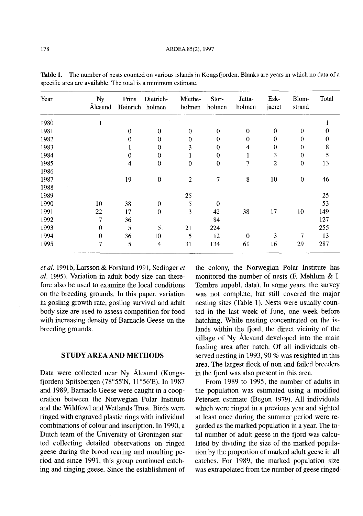| Year | Ny<br>Ålesund | Prins    | Dietrich-<br>Heinrich holmen | Miethe-<br>holmen | Stor-<br>holmen  | Jutta-<br>holmen | Esk-<br>jaeret | Blom-<br>strand  | Total |
|------|---------------|----------|------------------------------|-------------------|------------------|------------------|----------------|------------------|-------|
| 1980 |               |          |                              |                   |                  |                  |                |                  |       |
| 1981 |               | $\Omega$ | $\Omega$                     | $\theta$          | $\mathbf 0$      | $\theta$         | $\mathbf 0$    | $\bf{0}$         | 0     |
| 1982 |               | 0        | $\mathbf{0}$                 | $\theta$          | $\mathbf{0}$     | $\theta$         | $\theta$       | $\theta$         | 0     |
| 1983 |               |          | 0                            | 3                 | $\bf{0}$         | 4                | $\bf{0}$       | $\mathbf{0}$     | 8     |
| 1984 |               | $\theta$ | $\mathbf{0}$                 |                   | $\mathbf 0$      | 1                | 3              | $\boldsymbol{0}$ | 5     |
| 1985 |               | 4        | $\mathbf{0}$                 | $\boldsymbol{0}$  | $\boldsymbol{0}$ | 7                | $\overline{2}$ | $\boldsymbol{0}$ | 13    |
| 1986 |               |          |                              |                   |                  |                  |                |                  |       |
| 1987 |               | 19       | $\theta$                     | $\overline{2}$    | 7                | 8                | 10             | $\mathbf 0$      | 46    |
| 1988 |               |          |                              |                   |                  |                  |                |                  |       |
| 1989 |               |          |                              | 25                |                  |                  |                |                  | 25    |
| 1990 | 10            | 38       | 0                            | 5                 | $\mathbf 0$      |                  |                |                  | 53    |
| 1991 | 22            | 17       | $\mathbf{0}$                 | 3                 | 42               | 38               | 17             | 10               | 149   |
| 1992 | 7             | 36       |                              |                   | 84               |                  |                |                  | 127   |
| 1993 | $\mathbf 0$   | 5        | 5.                           | 21                | 224              |                  |                |                  | 255   |
| 1994 | $\mathbf{0}$  | 36       | 10                           | 5                 | 12               | $\mathbf{0}$     | 3              | 7                | 13    |
| 1995 | 7             | 5        | 4                            | 31                | 134              | 61               | 16             | 29               | 287   |

**Table 1.** The number of nests counted on various islands in Kongsfjorden. Blanks are years in which no data of a specific area are available. The total is a minimum estimate.

*et ai.* 1991b, Larsson & Forslund 1991, Sedinger *et ai.* 1995). Variation in adult body size can therefore also be used to examine the local conditions on the breeding grounds. In this paper, variation in gosling growth rate, gosling survival and adult body size are used to assess competition for food with increasing density of Barnacle Geese on the breeding grounds.

## **STUDY AREA AND METHODS**

Data were collected near Ny Alesund (Kongsfjorden) Spitsbergen (78°55'N, II °56'E). **In** 1987 and 1989, Barnacle Geese were caught in a cooperation between the Norwegian Polar Institute and the Wildfowl and Wetlands Trust. Birds were ringed with engraved plastic rings with individual combinations of colour and inscription. **In** 1990, a Dutch team of the University of Groningen started collecting detailed observations on ringed geese during the brood rearing and moulting period and since 1991, this group continued catching and ringing geese. Since the establishment of the colony, the Norwegian Polar Institute has monitored the number of nests (F. Mehlum & I. Tombre unpubl. data). **In** some years, the survey was not complete, but still covered the major nesting sites (Table 1). Nests were usually counted in the last week of June, one week before hatching. While nesting concentrated on the islands within the fjord, the direct vicinity of the village of Ny Alesund developed into the main feeding area after hatch. Of all individuals observed nesting in 1993, 90 % was resighted in this area. The largest flock of non and failed breeders in the fjord was also present in this area.

From 1989 to 1995, the number of adults in the population was estimated using a modified Petersen estimate (Begon 1979). All individuals which were ringed in a previous year and sighted at least once during the summer period were regarded as the marked population in a year. The total number of adult geese in the fjord was calculated by dividing the size of the marked population by the proportion of marked adult geese in all catches. For 1989, the marked population size was extrapolated from the number of geese ringed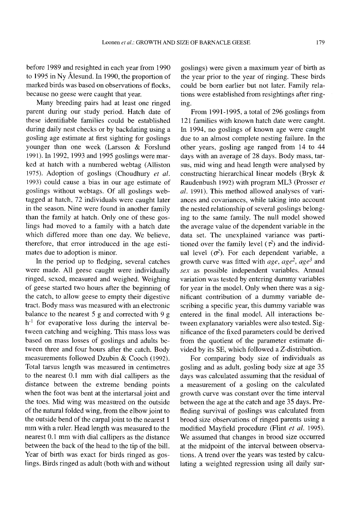before 1989 and resighted in each year from 1990 to 1995 in Ny Alesund. In 1990, the proportion of marked birds was based on observations of flocks, because no geese were caught that year.

Many breeding pairs had at least one ringed parent during our study period. Hatch date of these identifiable families could be established during daily nest checks or by backdating using a gosling age estimate at first sighting for goslings younger than one week (Larsson & Forslund 1991). In 1992, 1993 and 1995 goslings were marked at hatch with a numbered webtag (Alliston 1975). Adoption of goslings (Choudhury *et al.* 1993) could cause a bias in our age estimate of goslings without webtags. Of all goslings webtagged at hatch, 72 individuals were caught later in the season. Nine were found in another family than the family at hatch. Only one of these goslings had moved to a family with a hatch date which differed more than one day. We believe, therefore, that error introduced in the age estimates due to adoption is minor.

In the period up to fledging, several catches were made. All geese caught were individually ringed, sexed, measured and weighed. Weighing of geese started two hours after the beginning of the catch, to allow geese to empty their digestive tract. Body mass was measured with an electronic balance to the nearest 5 g and corrected with 9 g  $h^{-1}$  for evaporative loss during the interval between catching and weighing. This mass loss was based on mass losses of goslings and adults between three and four hours after the catch. Body measurements followed Dzubin & Cooch (1992). Total tarsus length was measured in centimetres to the nearest 0.1 mm with dial callipers as the distance between the extreme bending points when the foot was bent at the intertarsal joint and the toes. Mid wing was measured on the outside of the natural folded wing, from the elbow joint to the outside bend of the carpal joint to the nearest 1 mm with a ruler. Head length was measured to the nearest 0.1 mm with dial callipers as the distance between the back of the head to the tip of the bill. Year of birth was exact for birds ringed as goslings. Birds ringed as adult (both with and without goslings) were given a maximum year of birth as the year prior to the year of ringing. These birds could be born earlier but not later. Family relations were established from resightings after ringing.

From 1991-1995, a total of 296 goslings from 121 families with known hatch date were caught. In 1994, no goslings of known age were caught due to an almost complete nesting failure. In the other years, gosling age ranged from 14 to 44 days with an average of 28 days. Body mass, tarsus, mid wing and head length were analysed by constructing hierarchical linear models (Bryk & Raudenbush 1992) with program ML3 (Prosser *et al.* 1991). This method allowed analyses of variances and covariances, while taking into account the nested relationship of several goslings belonging to the same family. The null model showed the average value of the dependent variable in the data set. The unexplained variance was partitioned over the family level  $(\tau^2)$  and the individual level  $(\sigma^2)$ . For each dependent variable, a growth curve was fitted with *age, age2, age<sup>3</sup>* and *sex* as possible independent variables. Annual variation was tested by entering dummy variables for year in the model. Only when there was a significant contribution of a dummy variable describing a specific year, this dummy variable was entered in the final model. All interactions between explanatory variables were also tested. Significance of the fixed parameters could be derived from the quotient of the parameter estimate divided by its SE, which followed a Z-distribution.

For comparing body size of individuals as gosling and as adult, gosling body size at age 35 days was calculated assuming that the residual of a measurement of a gosling on the calculated growth curve was constant over the time interval between the age at the catch and age 35 days. Prefleding survival of goslings was calculated from brood size observations of ringed parents using a modified Mayfield procedure (Flint *et al. 1995).* We assumed that changes in brood size occurred at the midpoint of the interval between observations. A trend over the years was tested by calculating a weighted regression using all daily sur-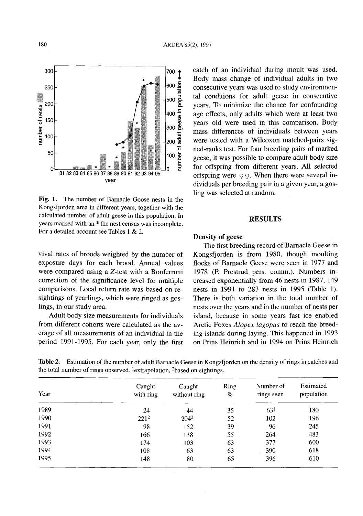Fig. 1. The number of Barnacle Goose nests in the Kongsfjorden area in different years, together with the calculated number of adult geese in this population. In years marked with an \* the nest census was incomplete. For a detailed account see Tables 1 & 2.

vival rates of broods weighted by the number of exposure days for each brood. Annual values were compared using a Z-test with a Bonferroni correction of the significance level for multiple comparisons. Local return rate was based on resightings of yearlings, which were ringed as goslings, in our study area.

Adult body size measurements for individuals from different cohorts were calculated as the average of all measurements of an individual in the period 1991-1995. For each year, only the first catch of an individual during moult was used. Body mass change of individual adults in two consecutive years was used to study environmental conditions for adult geese in consecutive years. To minimize the chance for confounding age effects, only adults which were at least two years old were used in this comparison. Body mass differences of individuals between years were tested with a Wilcoxon matched-pairs signed-ranks test. For four breeding pairs of marked geese, it was possible to compare adult body size for offspring from different years. All selected offspring were  $\varphi \varphi$ . When there were several individuals per breeding pair in a given year, a gosling was selected at random.

## **RESULTS**

## Density of geese

The first breeding record of Barnacle Geese in Kongsfjorden is from 1980, though moulting flocks of Barnacle Geese were seen in 1977 and 1978 (P. Prestrud pers. comm.). Numbers increased exponentially from 46 nests in 1987, 149 nests in 1991 to 283 nests in 1995 (Table 1). There is both variation in the total number of nests over the years and in the number of nests per island, because in some years fast ice enabled Arctic Foxes *Alopex lagopus* to reach the breeding islands during laying. This happened in 1993 on Prins Heinrich and in 1994 on Prins Heinrich

Table 2. Estimation of the number of adult Barnacle Geese in Kongsfjorden on the density of rings in catches and the total number of rings observed. 1extrapolation, 2based on sightings.

| Year | Caught<br>with ring | Caught<br>without ring | <b>Ring</b><br>% | Number of<br>rings seen | Estimated<br>population |
|------|---------------------|------------------------|------------------|-------------------------|-------------------------|
| 1989 | 24                  | 44                     | 35               | 63 <sup>1</sup>         | 180                     |
| 1990 | $221^2$             | $204^2$                | 52               | 102                     | 196                     |
| 1991 | 98                  | 152                    | 39               | 96                      | 245                     |
| 1992 | 166                 | 138                    | 55               | 264                     | 483                     |
| 1993 | 174                 | 103                    | 63               | 377                     | 600                     |
| 1994 | 108                 | 63                     | 63               | 390                     | 618                     |
| 1995 | 148                 | 80                     | 65               | 396                     | 610                     |

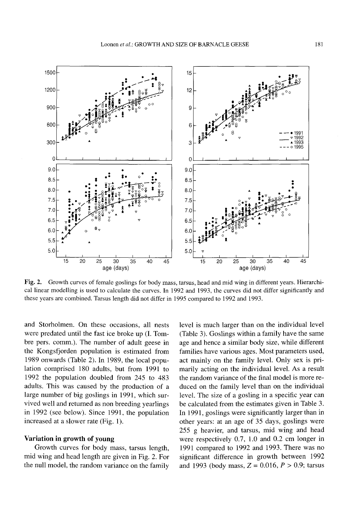

Fig. 2. Growth curves of female goslings for body mass, tarsus, head and mid wing in different years. Hierarchical linear modelling is used to calculate the curves. In 1992 and 1993, the curves did not differ significantly and these years are combined. Tarsus length did not differ in 1995 compared to 1992 and 1993.

and Storholmen. On these occasions, all nests were predated until the fast ice broke up (I. Tombre pers. comm.). The number of adult geese in the Kongsfjorden population is estimated from 1989 onwards (Table 2). In 1989, the local population comprised 180 adults, but from 1991 to 1992 the population doubled from 245 to 483 adults. This was caused by the production of a large number of big goslings in 1991, which survived well and returned as non breeding yearlings in 1992 (see below). Since 1991, the population increased at a slower rate (Fig. 1).

#### Variation **in** growth of young

Growth curves for body mass, tarsus length, mid wing and head length are given in Fig. 2. For the null model, the random variance on the family level is much larger than on the individual level (Table 3). Goslings within a family have the same age and hence a similar body size, while different families have various ages. Most parameters used, act mainly On the family level. Only sex is primarily acting on the individual level. As a result the random variance of the final model is more reduced on the family level than on the individual level. The size of a gosling in a specific year can be calculated from the estimates given in Table 3. In 1991, goslings were significantly larger than in other years: at an age of 35 days, goslings were 255 g heavier, and tarsus, mid wing and head were respectively 0.7, 1.0 and 0.2 cm longer in 1991 compared to 1992 and 1993. There was no significant difference in growth between 1992 and 1993 (body mass,  $Z = 0.016$ ,  $P > 0.9$ ; tarsus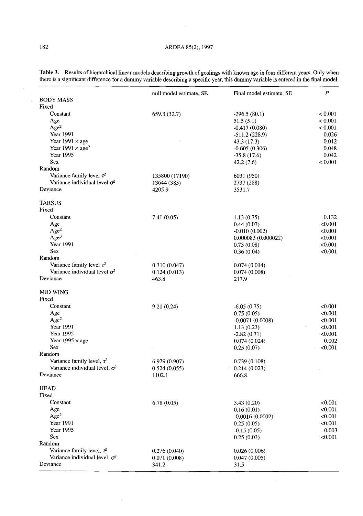|                                       | null model estimate, SE | Final model estimate, SE | $\boldsymbol{P}$ |
|---------------------------------------|-------------------------|--------------------------|------------------|
| <b>BODY MASS</b>                      |                         |                          |                  |
| Fixed                                 |                         |                          |                  |
| Constant                              | 659.3 (32.7)            | $-296.5(80.1)$           | < 0.001          |
| Age                                   |                         | 51.5(5.1)                | < 0.001          |
| Age <sup>2</sup>                      |                         | $-0.417(0.080)$          | ${}_{< 0.001}$   |
| Year 1991                             |                         | $-511.2(228.9)$          | 0.026            |
| Year $1991 \times age$                |                         | 43.3 (17.3)              | 0.012            |
| Year $1991 \times age^2$              |                         | $-0.605(0.306)$          | 0.048            |
| Year 1995                             |                         | $-35.8(17.6)$            | 0.042            |
| <b>Sex</b>                            |                         | 42.2 (7.6)               | < 0.001          |
| Random                                |                         |                          |                  |
| Variance family level $\tau^2$        | 135800 (17190)          | 6031 (950)               |                  |
| Variance individual level $\sigma^2$  | 13644 (385)             | 2737 (288)               |                  |
| Deviance                              | 4205.9                  | 3531.7                   |                  |
| <b>TARSUS</b>                         |                         |                          |                  |
| Fixed                                 |                         |                          |                  |
| Constant                              | 7.41 (0.05)             | 1.13(0.75)               | 0.132            |
| Age                                   |                         | 0.44(0.07)               | < 0.001          |
| Age <sup>2</sup>                      |                         | $-0.010(0.002)$          | < 0.001          |
| Age <sup>3</sup>                      |                         | 0.000083 (0.000022)      | < 0.001          |
| <b>Year 1991</b>                      |                         | 0.73(0.08)               | < 0.001          |
| <b>Sex</b>                            |                         | 0.36(0.04)               | < 0.001          |
| Random                                |                         |                          |                  |
| Variance family level $\tau^2$        | 0.310(0.047)            | 0.074(0.014)             |                  |
| Variance individual level $\sigma^2$  | 0.124(0.013)            | 0.074(0.008)             |                  |
| Deviance                              | 463.8                   | 217.9                    |                  |
| <b>MID WING</b>                       |                         |                          |                  |
| Fixed                                 |                         |                          |                  |
| Constant                              | 9.21(0.24)              | $-6.05(0.75)$            | < 0.001          |
| Age                                   |                         | 0.75(0.05)               | < 0.001          |
| Age <sup>2</sup>                      |                         | $-0.0071(0.0008)$        | < 0.001          |
| Year 1991                             |                         | 1.13(0.23)               | < 0.001          |
| Year 1995                             |                         | $-2.82(0.71)$            | < 0.001          |
| Year 1995 $\times$ age                |                         | 0.074(0.024)             | 0.002            |
| <b>Sex</b>                            |                         | 0.25(0.07)               | < 0.001          |
| Random                                |                         |                          |                  |
| Variance family level, $\tau^2$       | 6.979(0.907)            | 0.739(0.108)             |                  |
| Variance individual level, $\sigma^2$ | 0.524(0.055)            | 0.214(0.023)             |                  |
| Deviance                              | 1102.1                  | 666.8                    |                  |
| HEAD                                  |                         |                          |                  |
| Fixed                                 |                         |                          |                  |
| Constant                              | 6.78(0.05)              | 3.43(0.20)               | < 0.001          |
| Age                                   |                         | 0.16(0.01)               | < 0.001          |
| Age <sup>2</sup>                      |                         | $-0.0016(0.0002)$        | < 0.001          |
| Year 1991                             |                         | 0.25(0.05)               | < 0.001          |
| Year 1995                             |                         | $-0.15(0.05)$            | 0.003            |
| <b>Sex</b>                            |                         | 0.25(0.03)               | < 0.001          |
| Random                                |                         |                          |                  |
| Variance family level, $\tau^2$       | 0.276(0.040)            | 0.026(0.006)             |                  |
| Variance individual level, $\sigma^2$ | 0.071(0.008)            | 0.047(0.005)             |                  |
| Deviance                              | 341.2                   | 31.5                     |                  |
|                                       |                         |                          |                  |

**Table** 3. Results of hierarchica1linear models describing growth of goslings with known age in four different years. Only when there is a significant difference for a dummy variable describing a specific year, this dummy variable is entered in the final model.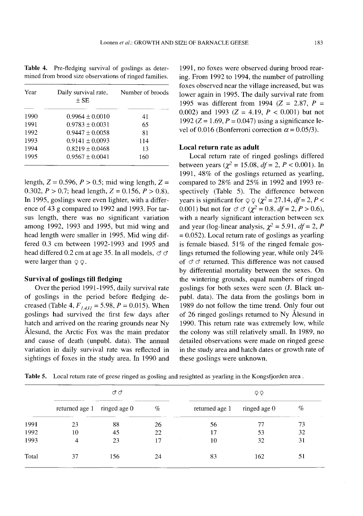**Table** 4. Pre-fledging survival of goslings as determined from brood size observations of ringed families.

| Year | Daily survival rate,<br>$\pm$ SE | Number of broods |
|------|----------------------------------|------------------|
| 1990 | $0.9964 + 0.0010$                | 41               |
| 1991 | $0.9783 \pm 0.0031$              | 65               |
| 1992 | $0.9447 \pm 0.0058$              | 81               |
| 1993 | $0.9141 \pm 0.0093$              | 114              |
| 1994 | $0.8219 \pm 0.0468$              | 13               |
| 1995 | $0.9567 + 0.0041$                | 160              |

length,  $Z = 0.596$ ,  $P > 0.5$ ; mid wing length,  $Z =$ 0.302,  $P > 0.7$ ; head length,  $Z = 0.156$ ,  $P > 0.8$ ). In 1995, goslings were even lighter, with a difference of 43 g compared to 1992 and 1993. For tarsus length, there was no significant variation among 1992, 1993 and 1995, but mid wing and head length were smaller in 1995. Mid wing differed 0.3 cm between 1992-1993 and 1995 and head differed 0.2 cm at age 35. In all models,  $\sigma \sigma$ were larger than  $\varphi \varphi$ .

#### **Survival of** goslings **till fledging**

Over the period 1991-1995, daily survival rate of goslings in the period before fledging decreased (Table 4,  $F_{1,431} = 5.98$ ,  $P = 0.015$ ). When goslings had survived the first few days after hatch and arrived on the rearing grounds near Ny Alesund, the Arctic Fox was the main predator and cause of death (unpub!. data). The annual variation in daily survival rate was reflected in sightings of foxes in the study area. In 1990 and 1991, no foxes were observed during brood rearing. From 1992 to 1994, the number of patrolling foxes observed near the village increased, but was lower again in 1995. The daily survival rate from 1995 was different from 1994 ( $Z = 2.87$ ,  $P =$ 0.002) and 1993 ( $Z = 4.19$ ,  $P < 0.001$ ) but not 1992 ( $Z = 1.69$ ,  $P = 0.047$ ) using a significance level of 0.016 (Bonferroni correction  $\alpha = 0.05/3$ ).

## **Local return rate as adult**

Local return rate of ringed goslings differed between years ( $\chi^2$  = 15.08, *df* = 2, *P* < 0.001). In 1991, 48% of the goslings returned as yearling, compared to 28% and 25% in 1992 and 1993 respectively (Table 5). The difference between years is significant for  $\varphi \varphi$  ( $\chi^2 = 27.14$ , *df* = 2, *P* < 0.001) but not for  $\sigma \sigma (\chi^2 = 0.8$ . *df* = 2, *P* > 0.6), with a nearly significant interaction between sex and year (log-linear analysis,  $\gamma^2 = 5.91$ , *df* = 2, *P*  $= 0.052$ ). Local return rate of goslings as yearling is female biased.  $51\%$  of the ringed female goslings returned the following year, while only 24% of  $\sigma \sigma$  returned. This difference was not caused by differential mortality between the sexes. On the wintering grounds, equal numbers of ringed goslings for both sexes were seen (J. Black unpub!. data). The data from the goslings born in 1989 do not follow the time trend. Only four out of 26 ringed goslings returned to Ny A1esund in 1990. This return rate was extremely low, while the colony was still relatively small. In 1989, no detailed observations were made on ringed geese in the study area and hatch dates or growth rate of these goslings were unknown.

| Table 5. Local return rate of geese ringed as gosling and resighted as yearling in the Kongsfjorden area. |  |
|-----------------------------------------------------------------------------------------------------------|--|
|                                                                                                           |  |

|       | ೆ ೆ                         |     |    | QϘ             |              |    |  |
|-------|-----------------------------|-----|----|----------------|--------------|----|--|
|       | returned age 1 ringed age 0 |     | %  | returned age 1 | ringed age 0 | %  |  |
| 1991  | 23                          | 88  | 26 | 56             | 77           | 73 |  |
| 1992  | 10                          | 45  | 22 | 17             | 53           | 32 |  |
| 1993  |                             | 23  | 17 | 10             | 32           | 31 |  |
| Total | 37                          | 156 | 24 | 83             | 162          | 51 |  |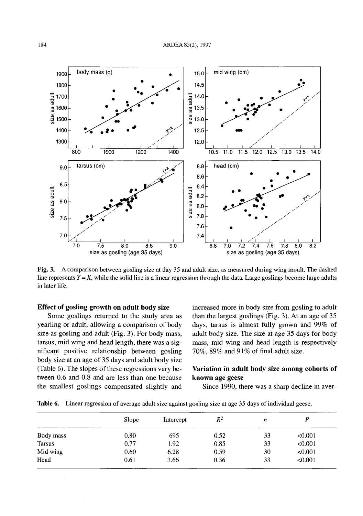

Fig. 3. A comparison between gosling size at day 35 and adult size, as measured during wing moult. The dashed line represents  $Y = X$ , while the solid line is a linear regression through the data. Large goslings become large adults in later life.

## Effect of gosling growth on adult body size

Some goslings returned to the study area as yearling or adult, allowing a comparison of body size as gosling and adult (Fig. 3). For body mass, tarsus, mid wing and head length, there was a significant positive relationship between gosling body size at an age of 35 days and adult body size (Table 6). The slopes of these regressions vary between 0.6 and 0.8 and are less than one because the smallest goslings compensated slightly and increased more in body size from gosling to adult than the largest goslings (Fig. 3). At an age of 35 days, tarsus is almost fully grown and 99% of adult body size. The size at age 35 days for body mass, mid wing and head length is respectively 70%,  $89\%$  and  $91\%$  of final adult size.

# Variation in adult body size among cohorts of known age geese

Since 1990, there was a sharp decline in aver-

|               | Slope | Intercept | $R^2$ | n  |         |
|---------------|-------|-----------|-------|----|---------|
| Body mass     | 0.80  | 695       | 0.52  | 33 | < 0.001 |
| <b>Tarsus</b> | 0.77  | 1.92      | 0.85  | 33 | < 0.001 |
| Mid wing      | 0.60  | 6.28      | 0.59  | 30 | < 0.001 |
| Head          | 0.61  | 3.66      | 0.36  | 33 | < 0.001 |

Table 6. Linear regression of average adult size against gosling size at age 35 days of individual geese.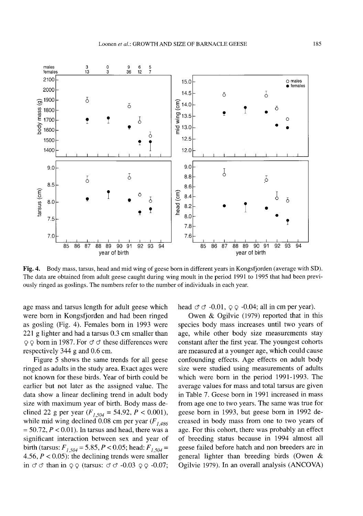

Fig. 4. Body mass, tarsus, head and mid wing of geese born in different years in Kongsfjorden (average with SD). The data are obtained from adult geese caught during wing moult in the period 1991 to 1995 that had been previously ringed as goslings. The numbers refer to the number of individuals in each year.

age mass and tarsus length for adult geese which were born in Kongsfjorden and had been ringed as gosling (Fig. 4). Females born in 1993 were 221 g lighter and had a tarsus 0.3 cm smaller than  $\varphi \varphi$  born in 1987. For  $\sigma \sigma$  these differences were respectively 344 g and 0.6 cm.

Figure 5 shows the same trends for all geese ringed as adults in the study area. Exact ages were not known for these birds. Year of birth could be earlier but not later as the assigned value. The data show a linear declining trend in adult body size with maximum year of birth. Body mass declined 22 g per year  $(F_{f,504} = 54.92, P < 0.001)$ , while mid wing declined 0.08 cm per year  $(F)$   $_{486}$  $= 50.72$ ,  $P < 0.01$ ). In tarsus and head, there was a significant interaction between sex and year of birth (tarsus:  $F_{j, 504} = 5.85, P < 0.05$ ; head:  $F_{j, 504} =$ 4.56,  $P < 0.05$ ): the declining trends were smaller in  $\sigma \sigma$  than in  $\circ \circ$  (tarsus:  $\sigma \sigma$  -0.03  $\circ \circ$  -0.07;

head  $\sigma \sigma$  -0.01,  $\varphi \varphi$  -0.04; all in cm per year).

Owen & Ogilvie (1979) reported that in this species body mass increases until two years of age, while other body size measurements stay constant after the first year. The youngest cohorts are measured at a younger age, which could cause confounding effects. Age effects on adult body size were studied using measurements of adults which were born in the period 1991-1993. The average values for mass and total tarsus are given in Table 7. Geese born in 1991 increased in mass from age one to two years. The same was true for geese born in 1993, but geese born in 1992 decreased in body mass from one to two years of age. For this cohort, there was probably an effect of breeding status because in 1994 almost all geese failed before hatch and non breeders are in general lighter than breeding birds (Owen & Ogilvie 1979). In an overall analysis (ANCOVA)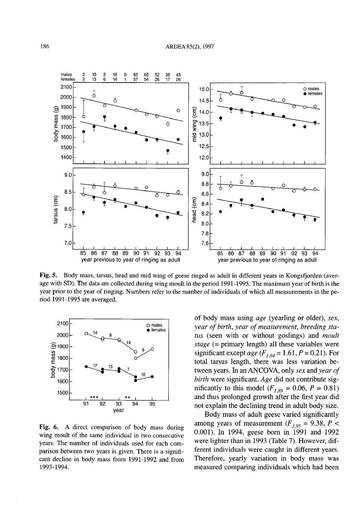

Fig. S. Body mass, tarsus, head and mid wing of geese ringed as adult in different years in Kongsfjorden (average with SD). The data are collected during wing moult in the period 1991-1995. The maximum year of birth is the year prior to the year of ringing. Numbers refer to the number of individuals of which all measurements in the period 1991-1995 are averaged.



Fig. 6. A direct comparison of body mass during wing moult of the same individual in two consecutive years. The number of individuals used for each comparison between two years is given. There is a significant decline in body mass from 1991-1992 and from 1993-1994.

of body mass using *age* (yearling or older), *sex, year of birth, year of measurement, breeding status* (seen with or without goslings) and *moult stage* (= primary length) all these variables were significant except *age*  $(F_{1,94} = 1.61, P = 0.21)$ . For total tarsus length, there was less variation between years. In anANCOVA, only *sex* and *year of birth* were significant. *Age* did not contribute significantly to this model  $(F_{I,89} = 0.06, P = 0.81)$ and thus prolonged growth after the first year did not explain the declining trend in adult body size.

Body mass of adult geese varied significantly among years of measurement ( $F_{3,95} = 9.38$ ,  $P <$ 0.001). In 1994, geese born in 1991 and 1992 were lighter than in 1993 (Table 7). However, different individuals were caught in different years. Therefore, yearly variation in body mass was measured comparing individuals which had been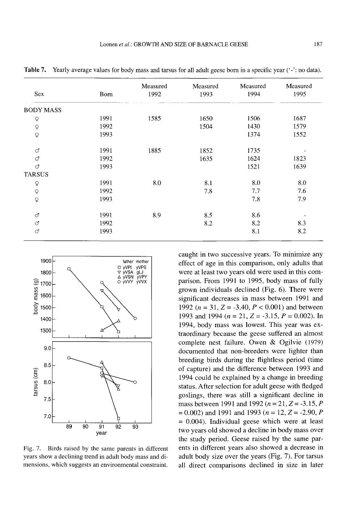|                            |      | Measured | Measured | Measured | Measured |
|----------------------------|------|----------|----------|----------|----------|
| Sex                        | Born | 1992     | 1993     | 1994     | 1995     |
| <b>BODY MASS</b>           |      |          |          |          |          |
| $\mathsf Q$                | 1991 | 1585     | 1650     | 1506     | 1687     |
| $\boldsymbol{\mathsf{Q}}$  | 1992 |          | 1504     | 1430     | 1579     |
| $\overline{Q}$             | 1993 |          |          | 1374     | 1552     |
| <b>ි</b>                   | 1991 | 1885     | 1852     | 1735     |          |
| ď.                         | 1992 |          | 1635     | 1624     | 1823     |
| ď                          | 1993 |          |          | 1521     | 1639     |
| <b>TARSUS</b>              |      |          |          |          |          |
| $\mathsf{Q}$               | 1991 | 8.0      | 8.1      | 8.0      | 8.0      |
| $\boldsymbol{\mathcal{Q}}$ | 1992 |          | 7.8      | 7.7      | 7.6      |
| $\mathsf Q$                | 1993 |          |          | 7.8      | 7.9      |
| $\circ$                    | 1991 | 8.9      | 8.5      | 8.6      |          |
| ď                          | 1992 |          | 8.2      | 8.2      | 8.3      |
| ď                          | 1993 |          |          | 8.1      | 8.2      |

**Table** 7. Yearly average values for body mass and tarsus for all adult geese born in a specific year ('-': no data).



Fig. 7. Birds raised by the same parents in different years show a declining trend in adult body mass and dimensions, which suggests an environmental constraint.

caught in two successive years. To minimize any effect of age in this comparison, only adults that were at least two years old were used in this comparison. From 1991 to 1995, body mass of fully grown individuals declined (Fig. 6). There were significant decreases in mass between 1991 and 1992 ( $n = 31$ ,  $Z = -3.40$ ,  $P < 0.001$ ) and between 1993 and 1994 ( $n = 21$ ,  $Z = -3.15$ ,  $P = 0.002$ ). In 1994, body mass was lowest. This year was extraordinary because the geese suffered an almost complete nest failure. Owen & Ogilvie (1979) documented that non-breeders were lighter than breeding birds during the flightless period (time of capture) and the difference between 1993 and 1994 could be explained by a change in breeding status. After selection for adult geese with fledged goslings, there was still a significant decline in mass between 1991 and 1992 ( $n = 21$ ,  $Z = -3.15$ ,  $P$  $=0.002$ ) and 1991 and 1993 ( $n = 12$ ,  $Z = -2.90$ , P  $= 0.004$ ). Individual geese which were at least two years old showed a decline in body mass over the study period. Geese raised by the same parents in different years also showed a decrease in adult body size over the years (Fig. 7). For tarsus all direct comparisons declined in size in later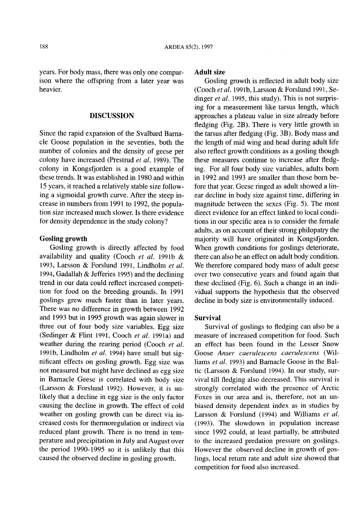years. For body mass, there was only one comparison where the offspring from a later year was heavier.

## **DISCUSSION**

Since the rapid expansion of the Svalbard Barnacle Goose population in the seventies, both the number of colonies and the density of geese per colony have increased (Prestrud *et ai.* 1989). The colony in Kongsfjorden is a good example of these trends. It was established in 1980 and within 15 years, it reached a relatively stable size following a sigmoidal growth curve. After the steep increase in numbers from 1991 to 1992, the population size increased much slower. Is there evidence for density dependence in the study colony?

## Gosling **growth**

Gosling growth is directly affected by food availability and quality (Cooch *et ai.* 1991b & 1993, Larsson & Forslund 1991, Lindholm *et al.* 1994, Gadallah & Jefferies 1995) and the declining trend in our data could reflect increased competition for food on the breeding grounds. In 1991 goslings grew much faster than in later years. There was no difference in growth between 1992 and 1993 but in 1995 growth was again slower in three out of four body size variables. Egg size (Sedinger & Flint 1991, Cooch *et ai.* 1991a) and weather during the rearing period (Cooch *et ai.* 1991b, Lindholm *et ai.* 1994) have small but significant effects on gosling growth. Egg size was not measured but might have declined as egg size in Barnacle Geese is correlated with body size (Larsson & Forslund 1992). However, it is unlikely that a decline in egg size is the only factor causing the decline in growth. The effect of cold weather on gosling growth can be direct via increased costs for thermoregulation or indirect via reduced plant growth. There is no trend in temperature and precipitation in July and August over the period 1990-1995 so it is unlikely that this caused the observed decline in gosling growth.

## **Adult** size

Gosling growth is reflected in adult body size (Cooch *et ai.* 1991b, Larsson & Forslund 1991, Sedinger *et ai.* 1995, this study). This is not surprising for a measurement like tarsus length, which approaches a plateau value in size already before fledging (Fig. 2B). There is very little growth in the tarsus after fledging (Fig. 3B). Body mass and the length of mid wing and head during adult life also reflect growth conditions as a gosling though these measures continue to increase after fledging. For all four body size variables, adults born in 1992 and 1993 are smaller than those born before that year. Geese ringed as adult showed a linear decline in body size against time, differing in magnitude between the sexes (Fig. 5). The most direct evidence for an effect linked to local conditions in our specific area is to consider the female adults, as on account of their strong philopatry the majority will have originated in Kongsfjorden. When growth conditions for goslings deteriorate, there can also be an effect on adult body condition. We therefore compared body mass of adult geese over two consecutive years and found again that these declined (Fig. 6). Such a change in an individual supports the hypothesis that the observed decline in body size is environmentally induced.

#### **Survival**

Survival of goslings to fledging can also be a measure of increased competition for food. Such an effect has been found in the Lesser Snow Goose *Anser caeruiescens caeruiescens* (Williams *et ai.* 1993) and Barnacle Goose in the Baltic (Larsson & Forslund 1994). In our study, survival till fledging also decreased. This survival is strongly correlated with the presence of Arctic Foxes in our area and is, therefore, not an unbiased density dependent index as in studies by Larsson & Forslund (1994) and Williams *et ai.* (1993). The slowdown in population increase since 1992 could, at least partially, be attributed to the increased predation pressure on goslings. However the observed decline in growth of goslings, local return rate and adult size showed that competition for food also increased.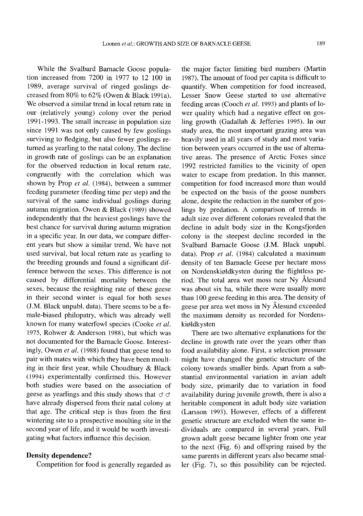While the Svalbard Barnacle Goose population increased from 7200 in 1977 to 12 100 in 1989, average survival of ringed goslings decreased from 80% to 62% (Owen & Black 1991a). We observed a similar trend in local return rate in our (relatively young) colony over the period 1991-1993. The small increase in population size since 1991 was not only caused by few goslings surviving to fledging, but also fewer goslings returned as yearling to the natal colony. The decline in growth rate of goslings can be an explanation for the observed reduction in local return rate, congruently with the correlation which was shown by Prop *et al.* (1984), between a summer feeding parameter (feeding time per step) and the survival of the same individual goslings during autumn migration. Owen & Black (1989) showed independently that the heaviest goslings have the best chance for survival during autumn migration in a specific year. In our data, we compare different years but show a similar trend. We have not used survival, but local return rate as yearling to the breeding grounds and found a significant difference between the sexes. This difference is not caused by differential mortality between the sexes, because the resighting rate of these geese in their second winter is equal for both sexes (J.M. Black unpubl. data). There seems to be a female-biased philopatry, which was already well known for many waterfowl species (Cooke *et al.* 1975, Rohwer & Anderson 1988), but which was not documented for the Barnacle Goose. Interestingly, Owen *et al.* (1988) found that geese tend to pair with mates with which they have been moulting in their first year, while Choudhury & Black (1994) experimentally confirmed this. However both studies were based on the association of geese as yearlings and this study shows that  $\sigma$   $\sigma$ have already dispersed from their natal colony at that age. The critical step is thus from the first wintering site to a prospective moulting site in the second year of life, and it would be worth investigating what factors influence this decision.

## **Density dependence?**

Competition for food is generally regarded as

the major factor limiting bird numbers (Martin 1987). The amount of food per capita is difficult to quantify. When competition for food increased, Lesser Snow Geese started to use alternative feeding areas (Cooch *et al.* 1993) and plants of lower quality which had a negative effect on gosling growth (Gadallah & Jefferies 1995). In our study area, the most important grazing area was heavily used in all years of study and most variation between years occurred in the use of alternative areas. The presence of Arctic Foxes since 1992 restricted families to the vicinity of open water to escape from predation. In this manner, competition for food increased more than would be expected on the basis of the goose numbers alone, despite the reduction in the number of goslings by predation. A comparison of trends in adult size over different colonies revealed that the decline in adult body size in the Kongsfjorden colony is the steepest decline recorded in the Svalbard Barnacle Goose (J.M. Black unpubl. data). Prop *et al.* (1984) calculated a maximum density of ten Barnacle Geese per hectare moss on Nordenski01dkysten during the flightless period. The total area wet moss near Ny Alesund was about six ha, while there were usually more than 100 geese feeding in this area. The density of geese per area wet moss in Ny Alesund exceeded the maximum density as recorded for Nordenskiøldkysten

There are two alternative explanations for the decline in growth rate over the years other than food availability alone. First, a selection pressure might have changed the genetic structure of the colony towards smaller birds. Apart from a substantial environmental variation in avian adult body size, primarily due to variation in food availability during juvenile growth, there is also a heritable component in adult body size variation (Larsson 1993). However, effects of a different genetic structure are excluded when the same individuals are compared in several years. Full grown adult geese became lighter from one year to the next (Fig. 6) and offspring raised by the same parents in different years also became smaller (Fig. 7), so this possibility can be rejected.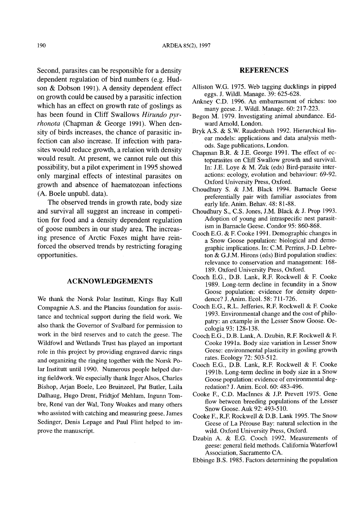Second, parasites can be responsible for a density dependent regulation of bird numbers (e.g. Hudson & Dobson 1991). A density dependent effect on growth could be caused by a parasitic infection which has an effect on growth rate of goslings as has been found in Cliff Swallows *Hirundo pyrrhonota* (Chapman & George 1991). When density of birds increases, the chance of parasitic infection can also increase. If infection with parasites would reduce growth, a relation with density would result. At present, we cannot rule out this possibility, but a pilot experiment in 1995 showed only marginal effects of intestinal parasites on growth and absence of haematozoan infections (A. Boele unpubl. data).

The observed trends in growth rate, body size and survival all suggest an increase in competition for food and a density dependent regulation of goose numbers in our study area. The increasing presence of Arctic Foxes might have reinforced the observed trends by restricting foraging opportunities.

## **ACKNOWLEDGEMENTS**

We thank the Norsk Polar Institutt, Kings Bay Kull Compagnie A.S. and the Plancius foundation for assistance and technical support during the field work. We also thank the Governor of Svalbard for permission to work in the bird reserves and to catch the geese. The Wildfowl and Wetlands Trust has played an important role in this project by providing engraved darvic rings and organizing the ringing together with the Norsk Polar Institutt until 1990. Numerous people helped during fieldwork. We especially thank Inger Alsos, Charles Bishop, Arjan Boele, Leo Bruinzeel, Pat Butler, Laila Dalhaug, Hugo Drent, Fridtjof Mehlum, Ingunn Tombre, René van der Wal, Tony Woakes and many others who assisted with catching and measuring geese. James Sedinger, Denis Lepage and Paul Flint helped to improve the manuscript.

## **REFERENCES**

- Alliston w.G. 1975. Web tagging ducklings in pipped eggs. J. Wildl. Manage. 39: 625-628.
- Ankney C.D. 1996. An embarrasment of riches: too many geese. J. Wildl. Manage. 60: 217-223.
- Begon M. 1979. Investigating animal abundance. Edward Arnold, London.
- Bryk A.S. & S.W. Raudenbush 1992. Hierarchical linear models: applications and data analysis methods. Sage publications, London.
- Chapman B.R. & J.E. George 1991. The effect of ectoparasites on Cliff Swallow growth and survival. In: J.E. Loye & M. Zuk (eds) Bird-parasite interactions: ecology, evolution and behaviour: 69-92. Oxford University Press, Oxford.
- Choudhury S. & J.M. Black 1994. Barnacle Geese preferentially pair with familiar associates from early life. Anim. Behav. 48: 81-88.
- Choudhury S., C.S. Jones, J.M. Black & J. Prop 1993. Adoption of young and intraspecific nest parasitism in Barnacle Geese. Condor 95: 860-868.
- Cooch E.G. & F. Cooke 1991. Demographic changes in a Snow Goose population: biological and demographic implications. In: C.M. Perrins, J-D. Lebreton  $&$  G.J.M. Hirons (eds) Bird population studies: relevance to conservation and management: 168- 189. Oxford University Press, Oxford.
- Cooch E.G., D.B. Lank, R.F. Rockwell & F. Cooke 1989. Long-term decline in fecundity in a Snow Goose population: evidence for density dependence? J. Anim. Ecol. 58: 711-726.
- Cooch E.G., R.L. Jefferies, R.E Rockwell & F. Cooke 1993. Environmental change and the cost of philopatry: an example in the Lesser Snow Goose. Oecologia 93: 128-138.
- Cooch E.G., D.B. Lank, A. Dzubin, R.F. Rockwell & F. Cooke 1991a. Body size variation in Lesser Snow Geese: environmental plasticity in gosling growth rates. Ecology 72: 503-512.
- Cooch E.G., D.B. Lank, R.F. Rockwell & F. Cooke 1991b. Long-term decline in body size in a Snow Goose population: evidence of environmental degredation? J. Anim. Ecol. 60: 483-496.
- Cooke E, C.D. MacInnes & J.P. Prevett 1975. Gene flow between breeding populations of the Lesser Snow Goose. Auk 92: 493-510.
- Cooke E, R.E Rockwell & D.B. Lank 1995. The Snow Geese of La Pérouse Bay: natural selection in the wild. Oxford University Press, Oxford.
- Dzubin A. & E.G. Cooch 1992. Measurements of geese: general field methods. California Waterfowl Association, Sacramento CA
- Ebbinge B.S. 1985. Factors determining the population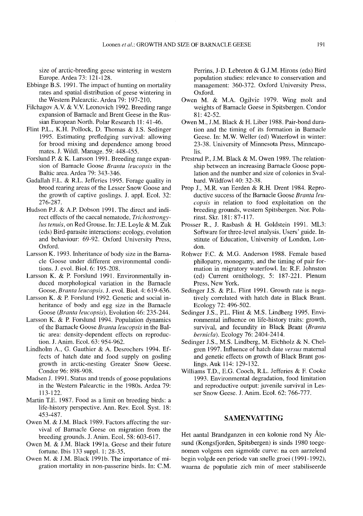size of arctic-breeding geese wintering in western Europe. Ardea 73: 121-128.

- Ebbinge B.S. 1991. The impact of hunting on mortality rates and spatial distribution of geese wintering in the Western Palearctic. Ardea 79: 197-210.
- Filchagov A.v. & v.v. Leonovich 1992. Breeding range expansion of Barnacle and Brent Geese in the Russian European North. Polar Research 11: 41-46.
- Flint P.L., K.H. Pollock, D. Thomas & J.S. Sedinger 1995. Estimating prefledging survival: allowing for brood mixing and dependence among brood mates. J. Wildl. Manage. 59: 448-455.
- Forslund P. & K. Larsson 1991. Breeding range expansion of Barnacle Goose *Branta leucopsis* in the Baltic area. Ardea 79: 343-346.
- Gadallah EL. & R.L. Jefferies 1995. Forage quality in brood rearing areas of the Lesser Snow Goose and the growth of captive goslings. J. appl. Ecol. 32: 276-287.
- Hudson P.J. & A.P. Dobson 1991. The direct and indirect effects of the caecal nematode, *Trichostrongylus tenuis,* on Red Grouse. In: J.E. Loyle & M. Zuk (eds) Bird-parasite interactions: ecology, evolution and behaviour: 69-92. Oxford University Press, Oxford.
- Larsson K. 1993. Inheritance of body size in the Barnacle Goose under different environmental conditions. J. evol. BioI. 6: 195-208.
- Larsson K. & P. Forslund 1991. Environmentally induced morphological variation in the Barnacle Goose, *Branta leucopsis.* J. evol. BioI. 4: 619-636.
- Larsson K. & P. Forslund 1992. Genetic and social inheritance of body and egg size in the Barnacle Goose *(Branta leucopsis).* Evolution 46: 235-244.
- Larsson K. & P. Forslund 1994. Population dynamics of the Barnacle Goose *Branta leucopsis* in the Baltic area: density-dependent effects on reproduction. J. Anim. Ecol. 63: 954-962.
- Lindholm A., G. Gauthier & A. Desrochers 1994. Effects of hatch date and food supply on gosling growth in arctic-nesting Greater Snow Geese. Condor 96: 898-908.
- Madsen J. 1991. Status and trends of goose populations in the Western Palearctic in the 1980s. Ardea 79: 113-122.
- Martin T.E. 1987. Food as a limit on breeding birds: a life-history perspective. Ann. Rev. Ecol. Syst. 18: 453-487.
- Owen M. & J.M. Black 1989. Factors affecting the survival of Barnacle Geese on migration from the breeding grounds. J. Anim. Ecol. 58: 603-617.
- Owen M. & J.M. Black 1991a. Geese and their future fortune. Ibis 133 suppl. 1: 28-35.
- Owen M. & J.M. Black 1991b. The importance of migration mortality in non-passerine birds. In: C.M.

Perrins, J-D. Lebreton & GJ.M. Hirons (eds) Bird population studies: relevance to conservation and management: 360-372. Oxford University Press, Oxford.

- Owen M. & M.A. Ogilvie 1979. Wing molt and weights of Barnacle Geese in Spitsbergen. Condor 81: 42-52.
- Owen M., J.M. Black & H. Liber 1988. Pair-bond duration and the timing of its formation in Barnacle Geese. In: M.W. Weller (ed) Waterfowl in winter: 23-38. University of Minnesota Press, Minneapolis.
- Prestrud P., J.M. Black & M. Owen 1989. The relationship between an increasing Barnacle Goose population and the number and size of colonies in Svalbard. Wildfowl 40: 32-38.
- Prop J., M.R. van Eerden & R.H. Drent 1984. Reproductive success of the Barnacle Goose *Branta leucops*is in relation to food exploitation on the breeding grounds, western Spitsbergen. Nor. Polarinst. Skr. 181: 87-117.
- Prosser R., J. Rasbash & H. Goldstein 1991. ML3: Software for three-level analysis. Users' guide. Institute of Education, University of London, London.
- Rohwer EC. & M.G. Anderson 1988. Female based philopatry, monogamy, and the timing of pair formation in migratory waterfowl. In: R.E Johnston (ed) Current ornithology, 5: 187-221. Plenum Press, New York.
- Sedinger J.S. & P.L. Flint 1991. Growth rate is negatively correlated with hatch date in Black Brant. Ecology 72: 496-502.
- Sedinger J.S., P.L. Flint & M.S. Lindberg 1995. Environmental influence on life-history traits: growth, survival, and fecundity in Black Brant *(Branta bernic/a).* Ecology 76: 2404-2414.
- Sedinger J.S., M.S. Lindberg, M. Eichholz & N. Chelgren 1997. Influence of hatch date *versus* maternal and genetic effects on growth of Black Brant goslings. Auk 114: 129-132.
- Williams T.D., E.G. Cooch, R.L. Jefferies & E Cooke 1993. Environmental degradation, food limitation and reproductive output: juvenile survival in Lesser Snow Geese. J. Anim. Ecol. 62: 766-777.

## **SAMENVATTING**

Het aantal Brandganzen in een kolonie rond Ny Alesund (Kongsfjorden, Spitsbergen) is sinds 1980 toegenomen volgens een sigmoi'de curve: na een aarzelend begin volgde een periode van snelle groei (1991-1992), waarna de populatie zich min of meer stabiliseerde